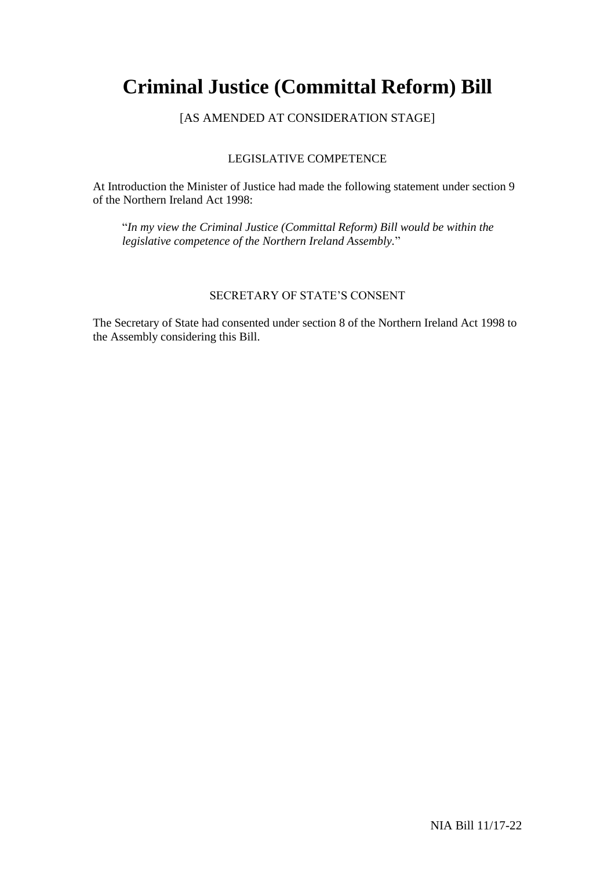# **Criminal Justice (Committal Reform) Bill**

## [AS AMENDED AT CONSIDERATION STAGE]

### LEGISLATIVE COMPETENCE

At Introduction the Minister of Justice had made the following statement under section 9 of the Northern Ireland Act 1998:

"*In my view the Criminal Justice (Committal Reform) Bill would be within the legislative competence of the Northern Ireland Assembly.*"

### SECRETARY OF STATE'S CONSENT

The Secretary of State had consented under section 8 of the Northern Ireland Act 1998 to the Assembly considering this Bill.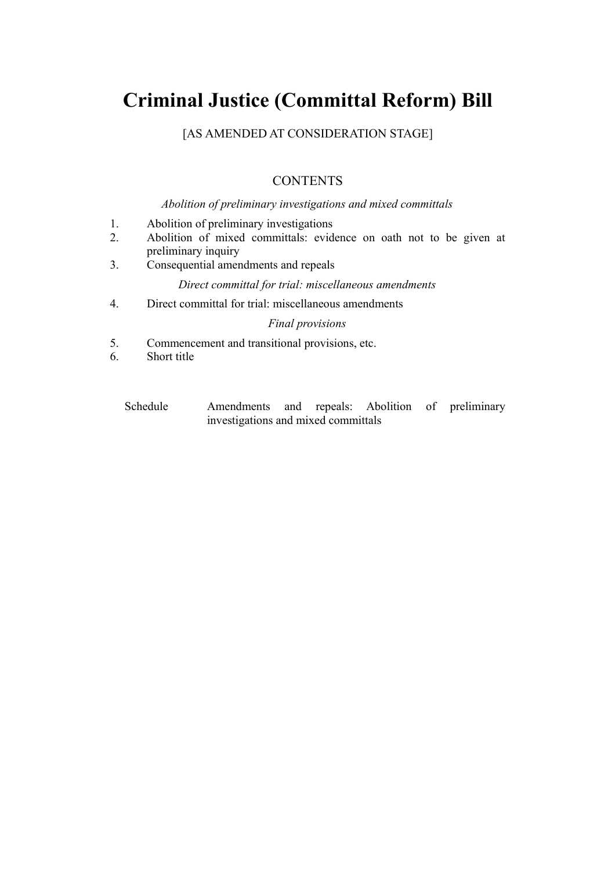# **Criminal Justice (Committal Reform) Bill**

[AS AMENDED AT CONSIDERATION STAGE]

# **CONTENTS**

### *Abolition of preliminary investigations and mixed committals*

- 1. Abolition of preliminary investigations
- 2. Abolition of mixed committals: evidence on oath not to be given at preliminary inquiry
- 3. Consequential amendments and repeals

### *Direct committal for trial: miscellaneous amendments*

4. Direct committal for trial: miscellaneous amendments

### *Final provisions*

- 5. Commencement and transitional provisions, etc.
- 6. Short title
	- Schedule Amendments and repeals: Abolition of preliminary investigations and mixed committals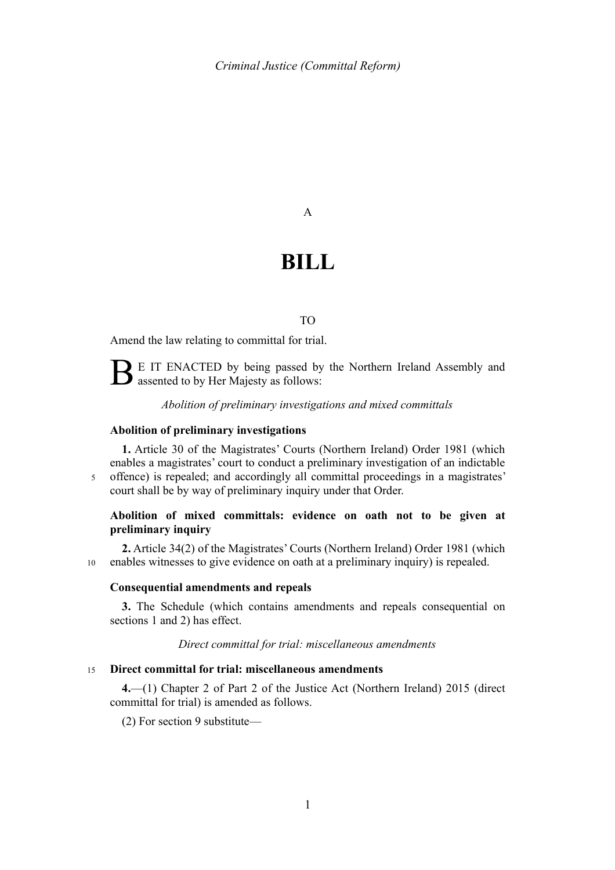#### A

# **BILL**

#### TO

Amend the law relating to committal for trial.

E IT ENACTED by being passed by the Northern Ireland Assembly and assented to by Her Majesty as follows:

#### *Abolition of preliminary investigations and mixed committals*

#### <span id="page-4-0"></span>**Abolition of preliminary investigations**

5

**1.** Article 30 of the Magistrates' Courts (Northern Ireland) Order 1981 (which enables a magistrates' court to conduct a preliminary investigation of an indictable offence) is repealed; and accordingly all committal proceedings in a magistrates' court shall be by way of preliminary inquiry under that Order.

#### <span id="page-4-1"></span>**Abolition of mixed committals: evidence on oath not to be given at preliminary inquiry**

**2.** Article 34(2) of the Magistrates' Courts (Northern Ireland) Order 1981 (which enables witnesses to give evidence on oath at a preliminary inquiry) is repealed. 10

#### **Consequential amendments and repeals**

<span id="page-4-2"></span>**3.** The Schedule (which contains amendments and repeals consequential on sections [1](#page-4-0) and [2\)](#page-4-1) has effect.

#### *Direct committal for trial: miscellaneous amendments*

#### **Direct committal for trial: miscellaneous amendments**  15

**4.**—(1) Chapter 2 of Part 2 of the Justice Act (Northern Ireland) 2015 (direct committal for trial) is amended as follows.

(2) For section 9 substitute—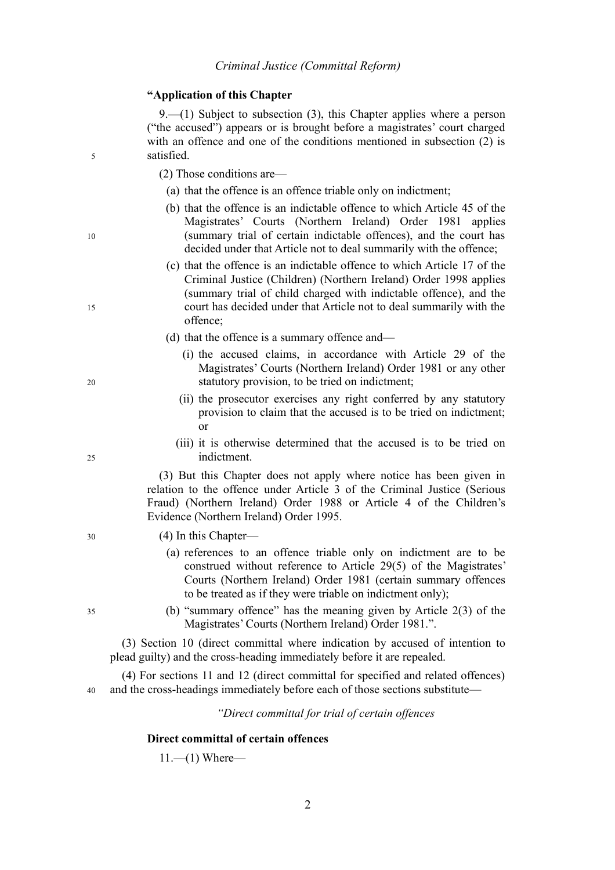#### **"Application of this Chapter**

9.—(1) Subject to subsection  $(3)$ , this Chapter applies where a person ("the accused") appears or is brought before a magistrates' court charged with an offence and one of the conditions mentioned in subsection (2) is satisfied.

(2) Those conditions are—

- (a) that the offence is an offence triable only on indictment;
- (b) that the offence is an indictable offence to which Article 45 of the Magistrates' Courts (Northern Ireland) Order 1981 applies (summary trial of certain indictable offences), and the court has decided under that Article not to deal summarily with the offence;
- (c) that the offence is an indictable offence to which Article 17 of the Criminal Justice (Children) (Northern Ireland) Order 1998 applies (summary trial of child charged with indictable offence), and the court has decided under that Article not to deal summarily with the offence;
- (d) that the offence is a summary offence and—
	- (i) the accused claims, in accordance with Article 29 of the Magistrates' Courts (Northern Ireland) Order 1981 or any other statutory provision, to be tried on indictment;
	- (ii) the prosecutor exercises any right conferred by any statutory provision to claim that the accused is to be tried on indictment; or
	- (iii) it is otherwise determined that the accused is to be tried on indictment.

(3) But this Chapter does not apply where notice has been given in relation to the offence under Article 3 of the Criminal Justice (Serious Fraud) (Northern Ireland) Order 1988 or Article 4 of the Children's Evidence (Northern Ireland) Order 1995.

#### (4) In this Chapter—

- (a) references to an offence triable only on indictment are to be construed without reference to Article 29(5) of the Magistrates' Courts (Northern Ireland) Order 1981 (certain summary offences to be treated as if they were triable on indictment only);
- (b) "summary offence" has the meaning given by Article 2(3) of the Magistrates' Courts (Northern Ireland) Order 1981.".

(3) Section 10 (direct committal where indication by accused of intention to plead guilty) and the cross-heading immediately before it are repealed.

(4) For sections 11 and 12 (direct committal for specified and related offences) and the cross-headings immediately before each of those sections substitute— 40

*"Direct committal for trial of certain offences*

#### **Direct committal of certain offences**

 $11$ .—(1) Where—

35

30

5

10

15

20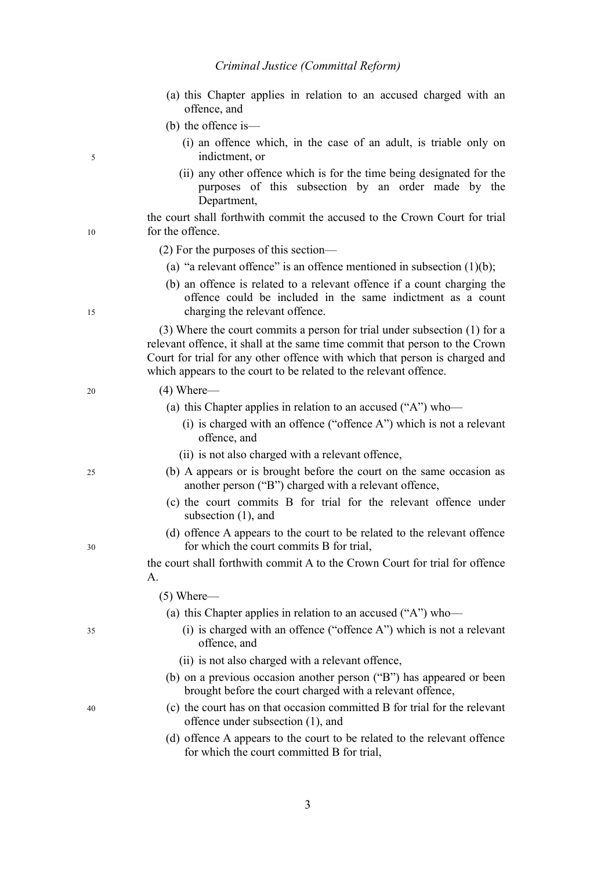- (a) this Chapter applies in relation to an accused charged with an offence, and
- (b) the offence is—
	- (i) an offence which, in the case of an adult, is triable only on indictment, or
	- (ii) any other offence which is for the time being designated for the purposes of this subsection by an order made by the Department,

the court shall forthwith commit the accused to the Crown Court for trial for the offence.

(2) For the purposes of this section—

- (a) "a relevant offence" is an offence mentioned in subsection  $(1)(b)$ ;
- (b) an offence is related to a relevant offence if a count charging the offence could be included in the same indictment as a count charging the relevant offence.

(3) Where the court commits a person for trial under subsection (1) for a relevant offence, it shall at the same time commit that person to the Crown Court for trial for any other offence with which that person is charged and which appears to the court to be related to the relevant offence.

5

10

15

20

25

30

35

40

- (a) this Chapter applies in relation to an accused ("A") who—
	- (i) is charged with an offence ("offence A") which is not a relevant offence, and
	- (ii) is not also charged with a relevant offence,
- (b) A appears or is brought before the court on the same occasion as another person ("B") charged with a relevant offence,
- (c) the court commits B for trial for the relevant offence under subsection (1), and
- (d) offence A appears to the court to be related to the relevant offence for which the court commits B for trial,

the court shall forthwith commit A to the Crown Court for trial for offence A.

(5) Where—

- (a) this Chapter applies in relation to an accused ("A") who—
	- (i) is charged with an offence ("offence A") which is not a relevant offence, and
	- (ii) is not also charged with a relevant offence,
- (b) on a previous occasion another person ("B") has appeared or been brought before the court charged with a relevant offence,
- (c) the court has on that occasion committed B for trial for the relevant offence under subsection (1), and
- (d) offence A appears to the court to be related to the relevant offence for which the court committed B for trial,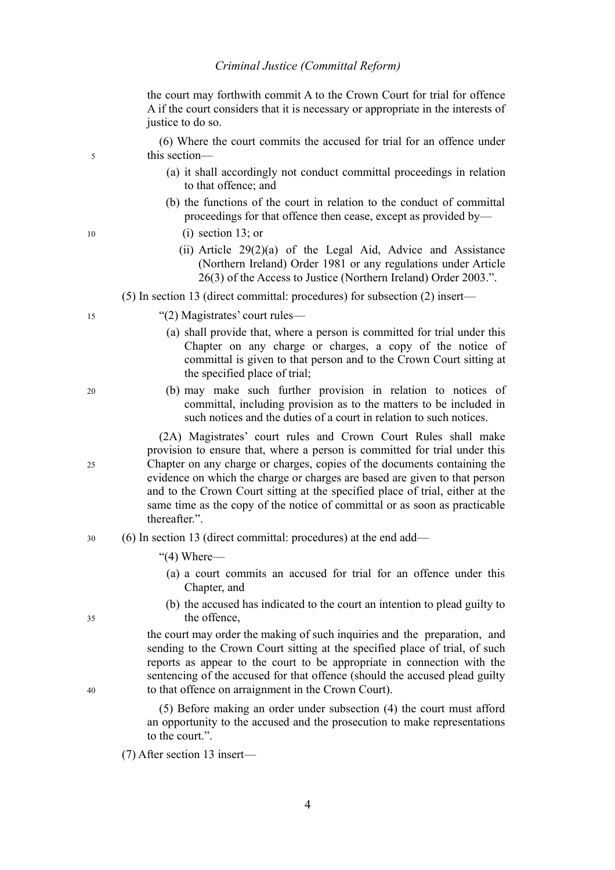the court may forthwith commit A to the Crown Court for trial for offence A if the court considers that it is necessary or appropriate in the interests of justice to do so.

(6) Where the court commits the accused for trial for an offence under this section—

- (a) it shall accordingly not conduct committal proceedings in relation to that offence; and
- (b) the functions of the court in relation to the conduct of committal proceedings for that offence then cease, except as provided by—
	- (i) section 13; or
	- (ii) Article 29(2)(a) of the Legal Aid, Advice and Assistance (Northern Ireland) Order 1981 or any regulations under Article 26(3) of the Access to Justice (Northern Ireland) Order 2003.".

(5) In section 13 (direct committal: procedures) for subsection (2) insert—

- "(2) Magistrates' court rules—
	- (a) shall provide that, where a person is committed for trial under this Chapter on any charge or charges, a copy of the notice of committal is given to that person and to the Crown Court sitting at the specified place of trial;
	- (b) may make such further provision in relation to notices of committal, including provision as to the matters to be included in such notices and the duties of a court in relation to such notices.

(2A) Magistrates' court rules and Crown Court Rules shall make provision to ensure that, where a person is committed for trial under this Chapter on any charge or charges, copies of the documents containing the evidence on which the charge or charges are based are given to that person and to the Crown Court sitting at the specified place of trial, either at the same time as the copy of the notice of committal or as soon as practicable thereafter.".

- (6) In section 13 (direct committal: procedures) at the end add— 30
	- "(4) Where—
		- (a) a court commits an accused for trial for an offence under this Chapter, and
		- (b) the accused has indicated to the court an intention to plead guilty to the offence,

the court may order the making of such inquiries and the preparation, and sending to the Crown Court sitting at the specified place of trial, of such reports as appear to the court to be appropriate in connection with the sentencing of the accused for that offence (should the accused plead guilty to that offence on arraignment in the Crown Court).

(5) Before making an order under subsection (4) the court must afford an opportunity to the accused and the prosecution to make representations to the court.".

(7) After section 13 insert—

10

15

5

25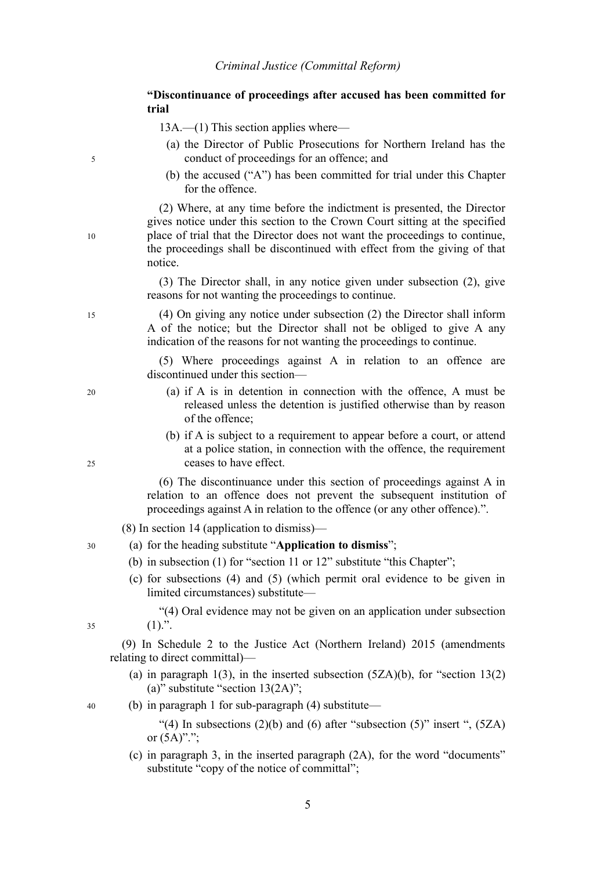**"Discontinuance of proceedings after accused has been committed for trial**

13A.—(1) This section applies where—

- (a) the Director of Public Prosecutions for Northern Ireland has the conduct of proceedings for an offence; and
- (b) the accused ("A") has been committed for trial under this Chapter for the offence.

(2) Where, at any time before the indictment is presented, the Director gives notice under this section to the Crown Court sitting at the specified place of trial that the Director does not want the proceedings to continue, the proceedings shall be discontinued with effect from the giving of that notice.

(3) The Director shall, in any notice given under subsection (2), give reasons for not wanting the proceedings to continue.

(4) On giving any notice under subsection (2) the Director shall inform A of the notice; but the Director shall not be obliged to give A any indication of the reasons for not wanting the proceedings to continue.

(5) Where proceedings against A in relation to an offence are discontinued under this section—

- (a) if A is in detention in connection with the offence, A must be released unless the detention is justified otherwise than by reason of the offence;
- (b) if A is subject to a requirement to appear before a court, or attend at a police station, in connection with the offence, the requirement ceases to have effect.

(6) The discontinuance under this section of proceedings against A in relation to an offence does not prevent the subsequent institution of proceedings against A in relation to the offence (or any other offence).".

(8) In section 14 (application to dismiss)—

- (a) for the heading substitute "**Application to dismiss**";
	- (b) in subsection (1) for "section 11 or 12" substitute "this Chapter";
	- (c) for subsections (4) and (5) (which permit oral evidence to be given in limited circumstances) substitute—

"(4) Oral evidence may not be given on an application under subsection  $(1).$ ".

(9) In Schedule 2 to the Justice Act (Northern Ireland) 2015 (amendments relating to direct committal)—

(a) in paragraph 1(3), in the inserted subsection  $(5ZA)(b)$ , for "section 13(2) (a)" substitute "section 13(2A)";

(b) in paragraph 1 for sub-paragraph (4) substitute—

"(4) In subsections  $(2)(b)$  and  $(6)$  after "subsection  $(5)$ " insert ",  $(5ZA)$ or  $(5A)$ ".";

(c) in paragraph 3, in the inserted paragraph (2A), for the word "documents" substitute "copy of the notice of committal";

25

30

20

5

10

15

35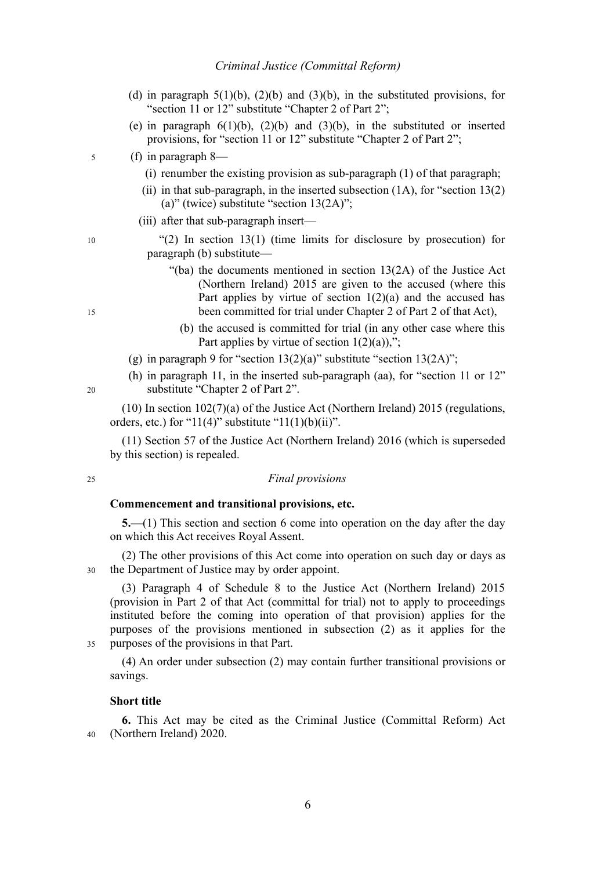- (d) in paragraph  $5(1)(b)$ ,  $(2)(b)$  and  $(3)(b)$ , in the substituted provisions, for "section 11 or 12" substitute "Chapter 2 of Part 2";
- (e) in paragraph  $6(1)(b)$ ,  $(2)(b)$  and  $(3)(b)$ , in the substituted or inserted provisions, for "section 11 or 12" substitute "Chapter 2 of Part 2";
- (f) in paragraph 8— 5
	- (i) renumber the existing provision as sub-paragraph  $(1)$  of that paragraph;
	- (ii) in that sub-paragraph, in the inserted subsection  $(1A)$ , for "section  $13(2)$ (a)" (twice) substitute "section  $13(2A)$ ";
	- (iii) after that sub-paragraph insert—

"(2) In section  $13(1)$  (time limits for disclosure by prosecution) for paragraph (b) substitute—

- "(ba) the documents mentioned in section 13(2A) of the Justice Act (Northern Ireland) 2015 are given to the accused (where this Part applies by virtue of section  $1(2)(a)$  and the accused has been committed for trial under Chapter 2 of Part 2 of that Act),
	- (b) the accused is committed for trial (in any other case where this Part applies by virtue of section  $1(2)(a)$ ,";
- (g) in paragraph 9 for "section  $13(2)(a)$ " substitute "section  $13(2A)$ ";
- (h) in paragraph 11, in the inserted sub-paragraph (aa), for "section 11 or 12" substitute "Chapter 2 of Part 2".

(10) In section 102(7)(a) of the Justice Act (Northern Ireland) 2015 (regulations, orders, etc.) for "11(4)" substitute "11(1)(b)(ii)".

(11) Section 57 of the Justice Act (Northern Ireland) 2016 (which is superseded by this section) is repealed.

#### *Final provisions*

#### **Commencement and transitional provisions, etc.**

**5.—**(1) This section and section [6](#page-9-0) come into operation on the day after the day on which this Act receives Royal Assent.

(2) The other provisions of this Act come into operation on such day or days as the Department of Justice may by order appoint. 30

(3) Paragraph 4 of Schedule 8 to the Justice Act (Northern Ireland) 2015 (provision in Part 2 of that Act (committal for trial) not to apply to proceedings instituted before the coming into operation of that provision) applies for the purposes of the provisions mentioned in subsection (2) as it applies for the purposes of the provisions in that Part.

(4) An order under subsection (2) may contain further transitional provisions or savings.

#### <span id="page-9-0"></span>**Short title**

**6.** This Act may be cited as the Criminal Justice (Committal Reform) Act (Northern Ireland) 2020. 40

15

 $20$ 

25

35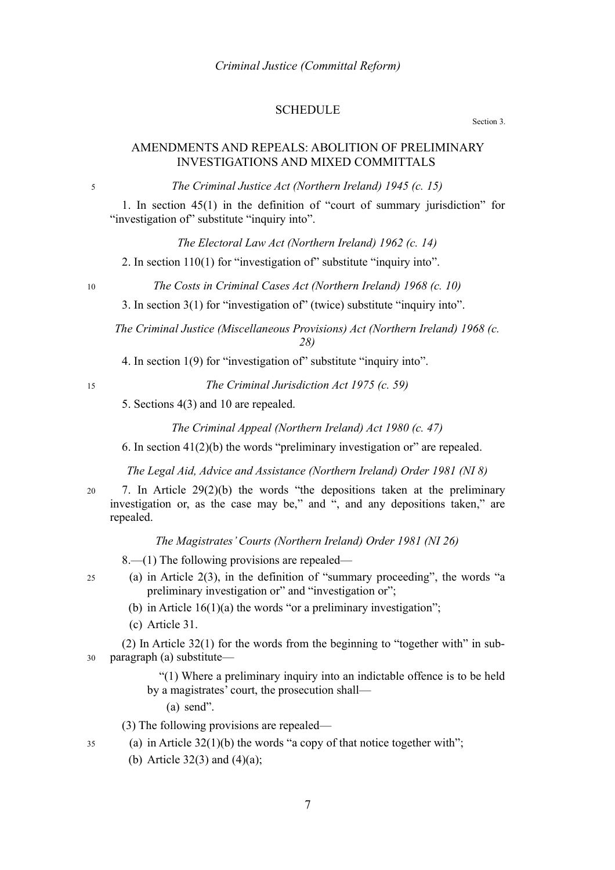#### **SCHEDULE**

Section [3.](#page-4-2)

#### AMENDMENTS AND REPEALS: ABOLITION OF PRELIMINARY INVESTIGATIONS AND MIXED COMMITTALS

*The Criminal Justice Act (Northern Ireland) 1945 (c. 15)*

1. In section 45(1) in the definition of "court of summary jurisdiction" for "investigation of" substitute "inquiry into".

*The Electoral Law Act (Northern Ireland) 1962 (c. 14)*

2. In section 110(1) for "investigation of" substitute "inquiry into".

*The Costs in Criminal Cases Act (Northern Ireland) 1968 (c. 10)*

3. In section 3(1) for "investigation of" (twice) substitute "inquiry into".

*The Criminal Justice (Miscellaneous Provisions) Act (Northern Ireland) 1968 (c. 28)*

4. In section 1(9) for "investigation of" substitute "inquiry into".

*The Criminal Jurisdiction Act 1975 (c. 59)*

5. Sections 4(3) and 10 are repealed.

*The Criminal Appeal (Northern Ireland) Act 1980 (c. 47)*

6. In section  $41(2)(b)$  the words "preliminary investigation or" are repealed.

*The Legal Aid, Advice and Assistance (Northern Ireland) Order 1981 (NI 8)*

7. In Article 29(2)(b) the words "the depositions taken at the preliminary investigation or, as the case may be," and ", and any depositions taken," are repealed. 20

*The Magistrates' Courts (Northern Ireland) Order 1981 (NI 26)*

8.—(1) The following provisions are repealed—

- (a) in Article 2(3), in the definition of "summary proceeding", the words "a preliminary investigation or" and "investigation or";
	- (b) in Article  $16(1)(a)$  the words "or a preliminary investigation";
	- (c) Article 31.

(2) In Article 32(1) for the words from the beginning to "together with" in subparagraph (a) substitute— 30

> "(1) Where a preliminary inquiry into an indictable offence is to be held by a magistrates' court, the prosecution shall—

(a) send".

(3) The following provisions are repealed—

(a) in Article  $32(1)(b)$  the words "a copy of that notice together with";

(b) Article  $32(3)$  and  $(4)(a)$ ;

25

35

5

10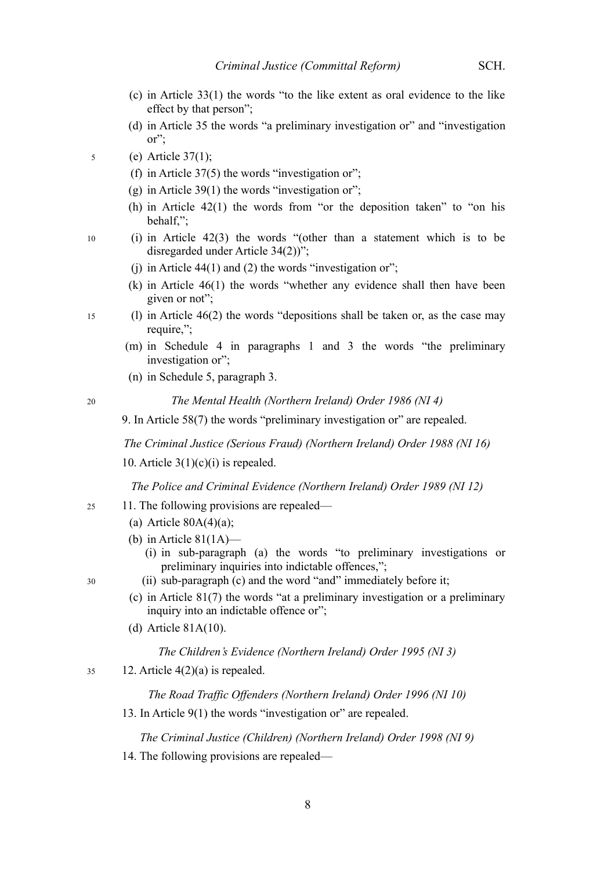- (c) in Article 33(1) the words "to the like extent as oral evidence to the like effect by that person";
- (d) in Article 35 the words "a preliminary investigation or" and "investigation or";
- (e) Article 37(1); 5
	- (f) in Article  $37(5)$  the words "investigation or";
	- $(g)$  in Article 39(1) the words "investigation or";
	- (h) in Article 42(1) the words from "or the deposition taken" to "on his behalf,";
	- (i) in Article 42(3) the words "(other than a statement which is to be disregarded under Article 34(2))";
		- (i) in Article  $44(1)$  and (2) the words "investigation or";
		- (k) in Article 46(1) the words "whether any evidence shall then have been given or not";
- (l) in Article 46(2) the words "depositions shall be taken or, as the case may require,"; 15
	- (m) in Schedule 4 in paragraphs 1 and 3 the words "the preliminary investigation or":
	- (n) in Schedule 5, paragraph 3.

20

10

*The Mental Health (Northern Ireland) Order 1986 (NI 4)*

9. In Article 58(7) the words "preliminary investigation or" are repealed.

*The Criminal Justice (Serious Fraud) (Northern Ireland) Order 1988 (NI 16)*

10. Article  $3(1)(c)(i)$  is repealed.

*The Police and Criminal Evidence (Northern Ireland) Order 1989 (NI 12)*

- 11. The following provisions are repealed—
	- (a) Article  $80A(4)(a)$ ;
	- (b) in Article  $81(1A)$ 
		- (i) in sub-paragraph (a) the words "to preliminary investigations or preliminary inquiries into indictable offences,";
	- (ii) sub-paragraph (c) and the word "and" immediately before it;
	- (c) in Article 81(7) the words "at a preliminary investigation or a preliminary inquiry into an indictable offence or";
	- (d) Article 81A(10).

#### *The Children's Evidence (Northern Ireland) Order 1995 (NI 3)*

12. Article 4(2)(a) is repealed. 35

*The Road Traffic Offenders (Northern Ireland) Order 1996 (NI 10)*

13. In Article 9(1) the words "investigation or" are repealed.

*The Criminal Justice (Children) (Northern Ireland) Order 1998 (NI 9)*

14. The following provisions are repealed—

30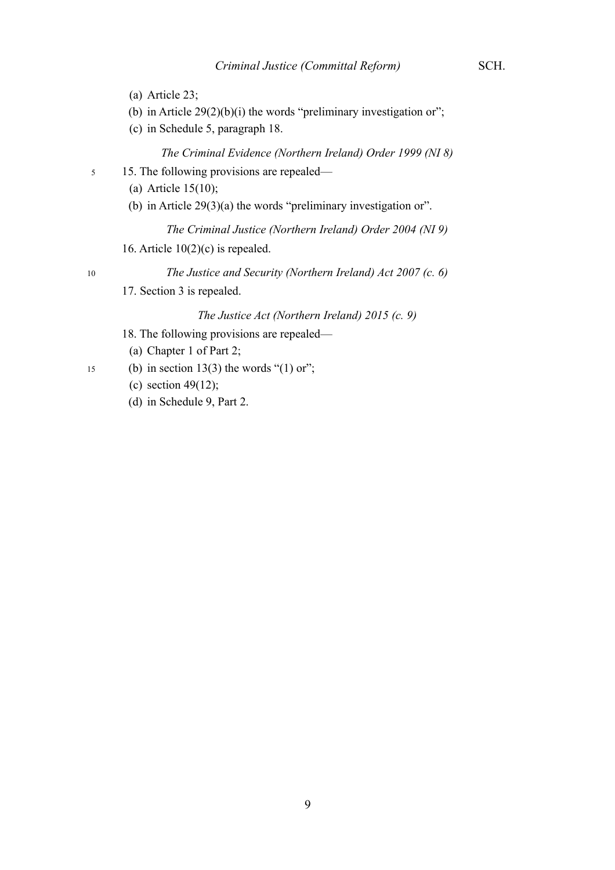- (a) Article 23;
- (b) in Article  $29(2)(b)(i)$  the words "preliminary investigation or";
- (c) in Schedule 5, paragraph 18.

*The Criminal Evidence (Northern Ireland) Order 1999 (NI 8)*

- 15. The following provisions are repealed— 5
	- (a) Article 15(10);
	- (b) in Article 29(3)(a) the words "preliminary investigation or".

*The Criminal Justice (Northern Ireland) Order 2004 (NI 9)*

16. Article  $10(2)(c)$  is repealed.

10

- *The Justice and Security (Northern Ireland) Act 2007 (c. 6)*
- 17. Section 3 is repealed.

#### *The Justice Act (Northern Ireland) 2015 (c. 9)*

- 18. The following provisions are repealed—
- (a) Chapter 1 of Part 2;
- (b) in section 13(3) the words " $(1)$  or"; 15
	- (c) section 49 $(12)$ ;
	- (d) in Schedule 9, Part 2.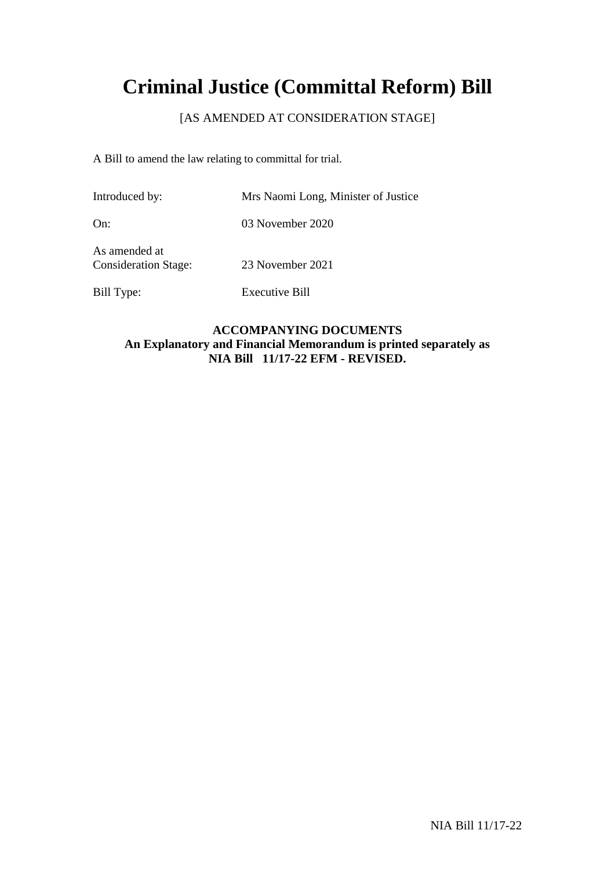# **Criminal Justice (Committal Reform) Bill**

# [AS AMENDED AT CONSIDERATION STAGE]

A Bill to amend the law relating to committal for trial.

Bill Type: Executive Bill

| Introduced by:                               | Mrs Naomi Long, Minister of Justice |
|----------------------------------------------|-------------------------------------|
| On:                                          | 03 November 2020                    |
| As amended at<br><b>Consideration Stage:</b> | 23 November 2021                    |

**ACCOMPANYING DOCUMENTS An Explanatory and Financial Memorandum is printed separately as NIA Bill 11/17-22 EFM - REVISED.**